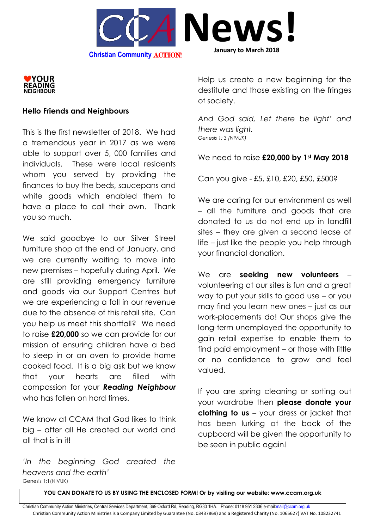



## **Hello Friends and Neighbours**

This is the first newsletter of 2018. We had a tremendous year in 2017 as we were able to support over 5, 000 families and individuals. These were local residents whom you served by providing the finances to buy the beds, saucepans and white goods which enabled them to have a place to call their own. Thank you so much.

We said goodbye to our Silver Street furniture shop at the end of January, and we are currently waiting to move into new premises – hopefully during April. We are still providing emergency furniture and goods via our Support Centres but we are experiencing a fall in our revenue due to the absence of this retail site. Can you help us meet this shortfall? We need to raise **£20,000** so we can provide for our mission of ensuring children have a bed to sleep in or an oven to provide home cooked food. It is a big ask but we know that your hearts are filled with compassion for your *Reading Neighbour* who has fallen on hard times.

We know at CCAM that God likes to think big – after all He created our world and all that is in it!

*'In the beginning God created the heavens and the earth'* Genesis 1:1(NIVUK)

Help us create a new beginning for the destitute and those existing on the fringes of society.

*And God said, Let there be light' and there was light. Genesis 1: 3 (NIVUK)*

We need to raise **£20,000 by 1st May 2018**

Can you give - £5, £10, £20, £50, £500?

We are caring for our environment as well – all the furniture and goods that are donated to us do not end up in landfill sites – they are given a second lease of life – just like the people you help through your financial donation.

We are **seeking new volunteers** – volunteering at our sites is fun and a great way to put your skills to good use – or you may find you learn new ones – just as our work-placements do! Our shops give the long-term unemployed the opportunity to gain retail expertise to enable them to find paid employment – or those with little or no confidence to grow and feel valued.

If you are spring cleaning or sorting out your wardrobe then **please donate your clothing to us** – your dress or jacket that has been lurking at the back of the cupboard will be given the opportunity to be seen in public again!

**YOU CAN DONATE TO US BY USING THE ENCLOSED FORM! Or by visiting our website: www.ccam.org.uk**

Christian Community Action Ministries, Central Services Department, 369 Oxford Rd, Reading, RG30 1HA. Phone: 0118 951 2336 e-mai[l:mail@ccam.org.uk](mailto:mail@ccam.org.uk) Christian Community Action Ministries is a Company Limited by Guarantee (No. 03437869) and a Registered Charity (No. 1065627) VAT No. 108232741